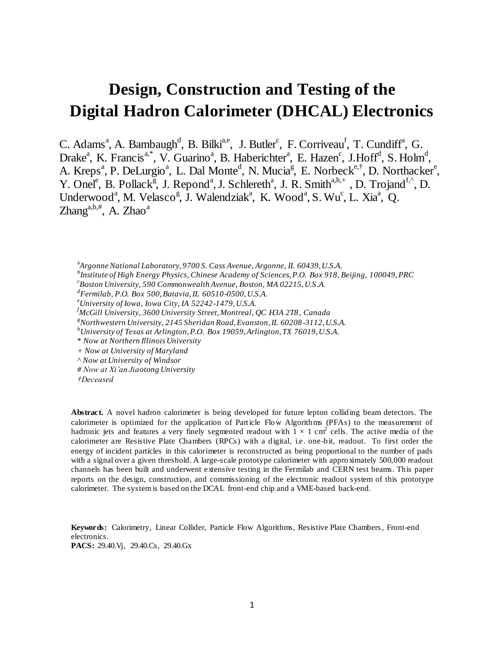# **Design, Construction and Testing of the Digital Hadron Calorimeter (DHCAL) Electronics**

C. Adams<sup>a</sup>, A. Bambaugh<sup>d</sup>, B. Bilki<sup>a,e</sup>, J. Butler<sup>c</sup>, F. Corriveau<sup>f</sup>, T. Cundiff<sup>a</sup>, G. Drake<sup>a</sup>, K. Francis<sup>a,\*</sup>, V. Guarino<sup>a</sup>, B. Haberichter<sup>a</sup>, E. Hazen<sup>c</sup>, J.Hoff<sup>d</sup>, S. Holm<sup>d</sup>, A. Kreps<sup>a</sup>, P. DeLurgio<sup>a</sup>, L. Dal Monte<sup>d</sup>, N. Mucia<sup>g</sup>, E. Norbeck<sup>e,†</sup>, D. Northacker<sup>e</sup>, Y. Onel<sup>e</sup>, B. Pollack<sup>g</sup>, J. Repond<sup>a</sup>, J. Schlereth<sup>a</sup>, J. R. Smith<sup>a,h,+</sup>, D. Trojand<sup>f,^</sup>, D. Underwood<sup>a</sup>, M. Velasco<sup>g</sup>, J. Walendziak<sup>a</sup>, K. Wood<sup>a</sup>, S. Wu<sup>c</sup>, L. Xia<sup>a</sup>, Q.  $\text{Zhang}^{\text{a,b},\#}$ , A.  $\text{Zhao}^{\text{a}}$ 

a *Argonne National Laboratory, 9700 S. Cass Avenue, Argonne, IL 60439, U.S.A. b Institute of High Energy Physics, Chinese Academy of Sciences, P.O. Box 918, Beijing, 100049, PRC*

*c Boston University, 590 Commonwealth Avenue, Boston, MA 02215, U.S.A.*

*d Fermilab, P.O. Box 500, Batavia, IL 60510-0500, U.S.A.*

*<sup>e</sup>University of Iowa, Iowa City, IA 52242-1479, U.S.A.*

*<sup>f</sup>McGill University, 3600 University Street, Montreal, QC H3A 2T8, Canada* 

*<sup>g</sup>Northwestern University, 2145 Sheridan Road, Evanston, IL 60208-3112, U.S.A.*

*<sup>h</sup>University of Texas at Arlington, P.O. Box 19059, Arlington, TX 76019, U.S.A.* 

\* *Now at Northern Illinois University*

*+ Now at University of Maryland*

*^ Now at University of Windsor*

*# Now at Xi'an Jiaotong University*

**Abstract.** A novel hadron calorimeter is being developed for future lepton colliding beam detectors. The calorimeter is optimized for the application of Particle Flow Algorithms (PFAs) to the measurement of hadronic jets and features a very finely segmented readout with  $1 \times 1$  cm<sup>2</sup> cells. The active media of the calorimeter are Resistive Plate Chambers (RPCs) with a digital, i.e. one-bit, readout. To first order the energy of incident particles in this calorimeter is reconstructed as being proportional to the number of pads with a signal over a given threshold. A large-scale prototype calorimeter with approximately 500,000 readout channels has been built and underwent extensive testing in the Fermilab and CERN test beams. This paper reports on the design, construction, and commissioning of the electronic readout system of this prototype calorimeter. The system is based on the DCAL front-end chip and a VME-based back-end.

**Keywords:** Calorimetry, Linear Collider, Particle Flow Algorithms, Resistive Plate Chambers, Front-end electronics. **PACS:** 29.40.Vj, 29.40.Cs, 29.40.Gx

*<sup>†</sup>Deceased*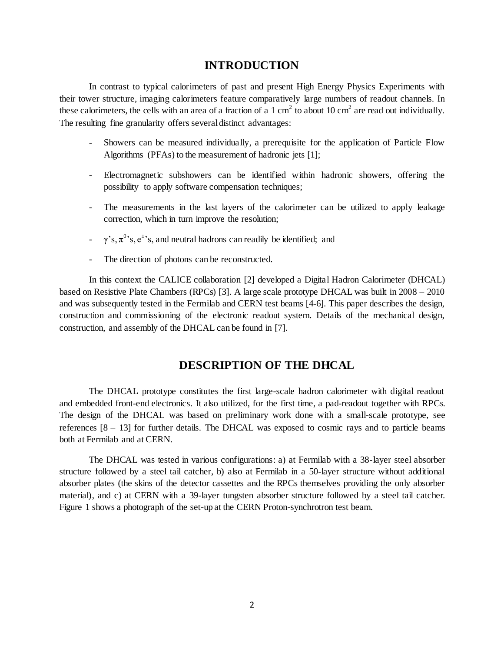# **INTRODUCTION**

In contrast to typical calorimeters of past and present High Energy Physics Experiments with their tower structure, imaging calorimeters feature comparatively large numbers of readout channels. In these calorimeters, the cells with an area of a fraction of a 1 cm<sup>2</sup> to about 10 cm<sup>2</sup> are read out individually. The resulting fine granularity offers several distinct advantages:

- Showers can be measured individually, a prerequisite for the application of Particle Flow Algorithms (PFAs) to the measurement of hadronic jets [1];
- Electromagnetic subshowers can be identified within hadronic showers, offering the possibility to apply software compensation techniques;
- The measurements in the last layers of the calorimeter can be utilized to apply leakage correction, which in turn improve the resolution;
- $-\gamma$ 's,  $\pi$ <sup>0</sup>'s,  $e^{\pm}$ 's, and neutral hadrons can readily be identified; and
- The direction of photons can be reconstructed.

In this context the CALICE collaboration [2] developed a Digital Hadron Calorimeter (DHCAL) based on Resistive Plate Chambers (RPCs) [3]. A large scale prototype DHCAL was built in 2008 – 2010 and was subsequently tested in the Fermilab and CERN test beams [4-6]. This paper describes the design, construction and commissioning of the electronic readout system. Details of the mechanical design, construction, and assembly of the DHCAL can be found in [7].

## **DESCRIPTION OF THE DHCAL**

The DHCAL prototype constitutes the first large-scale hadron calorimeter with digital readout and embedded front-end electronics. It also utilized, for the first time, a pad-readout together with RPCs. The design of the DHCAL was based on preliminary work done with a small-scale prototype, see references  $[8 - 13]$  for further details. The DHCAL was exposed to cosmic rays and to particle beams both at Fermilab and at CERN.

The DHCAL was tested in various configurations: a) at Fermilab with a 38-layer steel absorber structure followed by a steel tail catcher, b) also at Fermilab in a 50-layer structure without additional absorber plates (the skins of the detector cassettes and the RPCs themselves providing the only absorber material), and c) at CERN with a 39-layer tungsten absorber structure followed by a steel tail catcher. Figure 1 shows a photograph of the set-up at the CERN Proton-synchrotron test beam.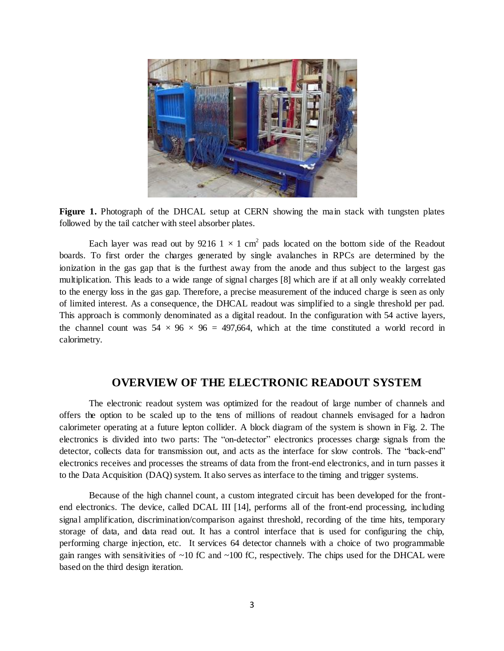

**Figure 1.** Photograph of the DHCAL setup at CERN showing the main stack with tungsten plates followed by the tail catcher with steel absorber plates.

Each layer was read out by 9216 1  $\times$  1 cm<sup>2</sup> pads located on the bottom side of the Readout boards. To first order the charges generated by single avalanches in RPCs are determined by the ionization in the gas gap that is the furthest away from the anode and thus subject to the largest gas multiplication. This leads to a wide range of signal charges [8] which are if at all only weakly correlated to the energy loss in the gas gap. Therefore, a precise measurement of the induced charge is seen as only of limited interest. As a consequence, the DHCAL readout was simplified to a single threshold per pad. This approach is commonly denominated as a digital readout. In the configuration with 54 active layers, the channel count was  $54 \times 96 \times 96 = 497,664$ , which at the time constituted a world record in calorimetry.

# **OVERVIEW OF THE ELECTRONIC READOUT SYSTEM**

The electronic readout system was optimized for the readout of large number of channels and offers the option to be scaled up to the tens of millions of readout channels envisaged for a hadron calorimeter operating at a future lepton collider. A block diagram of the system is shown in Fig. 2. The electronics is divided into two parts: The "on-detector" electronics processes charge signals from the detector, collects data for transmission out, and acts as the interface for slow controls. The "back-end" electronics receives and processes the streams of data from the front-end electronics, and in turn passes it to the Data Acquisition (DAQ) system. It also serves as interface to the timing and trigger systems.

Because of the high channel count, a custom integrated circuit has been developed for the frontend electronics. The device, called DCAL III [14], performs all of the front-end processing, including signal amplification, discrimination/comparison against threshold, recording of the time hits, temporary storage of data, and data read out. It has a control interface that is used for configuring the chip, performing charge injection, etc. It services 64 detector channels with a choice of two programmable gain ranges with sensitivities of  $~10$  fC and  $~100$  fC, respectively. The chips used for the DHCAL were based on the third design iteration.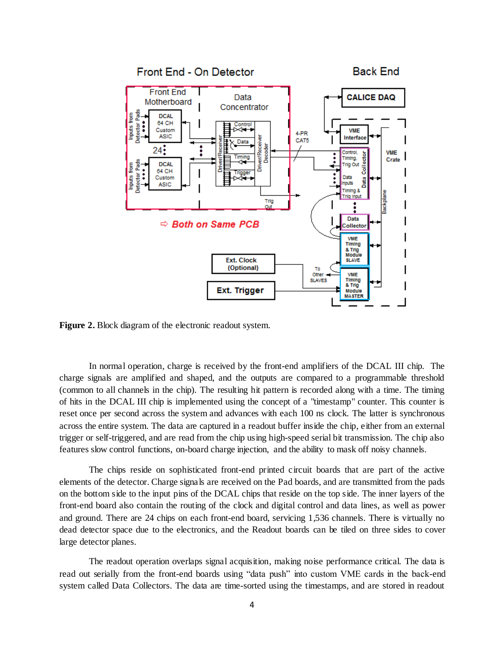

**Figure 2.** Block diagram of the electronic readout system.

In normal operation, charge is received by the front-end amplifiers of the DCAL III chip. The charge signals are amplified and shaped, and the outputs are compared to a programmable threshold (common to all channels in the chip). The resulting hit pattern is recorded along with a time. The timing of hits in the DCAL III chip is implemented using the concept of a "timestamp" counter. This counter is reset once per second across the system and advances with each 100 ns clock. The latter is synchronous across the entire system. The data are captured in a readout buffer inside the chip, either from an external trigger or self-triggered, and are read from the chip using high-speed serial bit transmission. The chip also features slow control functions, on-board charge injection, and the ability to mask off noisy channels.

The chips reside on sophisticated front-end printed circuit boards that are part of the active elements of the detector. Charge signals are received on the Pad boards, and are transmitted from the pads on the bottom side to the input pins of the DCAL chips that reside on the top side. The inner layers of the front-end board also contain the routing of the clock and digital control and data lines, as well as power and ground. There are 24 chips on each front-end board, servicing 1,536 channels. There is virtually no dead detector space due to the electronics, and the Readout boards can be tiled on three sides to cover large detector planes.

The readout operation overlaps signal acquisition, making noise performance critical. The data is read out serially from the front-end boards using "data push" into custom VME cards in the back-end system called Data Collectors. The data are time-sorted using the timestamps, and are stored in readout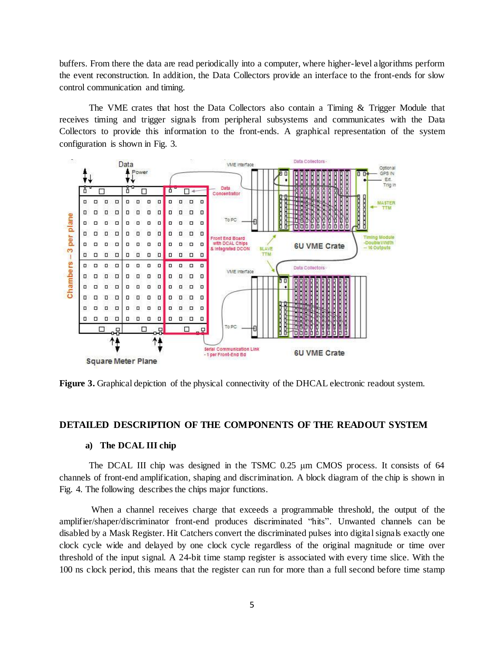buffers. From there the data are read periodically into a computer, where higher-level algorithms perform the event reconstruction. In addition, the Data Collectors provide an interface to the front-ends for slow control communication and timing.

The VME crates that host the Data Collectors also contain a Timing & Trigger Module that receives timing and trigger signals from peripheral subsystems and communicates with the Data Collectors to provide this information to the front-ends. A graphical representation of the system configuration is shown in Fig. 3.



**Figure 3.** Graphical depiction of the physical connectivity of the DHCAL electronic readout system.

#### **DETAILED DESCRIPTION OF THE COMPONENTS OF THE READOUT SYSTEM**

#### **a) The DCAL III chip**

The DCAL III chip was designed in the TSMC 0.25 μm CMOS process. It consists of 64 channels of front-end amplification, shaping and discrimination. A block diagram of the chip is shown in Fig. 4. The following describes the chips major functions.

When a channel receives charge that exceeds a programmable threshold, the output of the amplifier/shaper/discriminator front-end produces discriminated "hits". Unwanted channels can be disabled by a Mask Register. Hit Catchers convert the discriminated pulses into digital signals exactly one clock cycle wide and delayed by one clock cycle regardless of the original magnitude or time over threshold of the input signal. A 24-bit time stamp register is associated with every time slice. With the 100 ns clock period, this means that the register can run for more than a full second before time stamp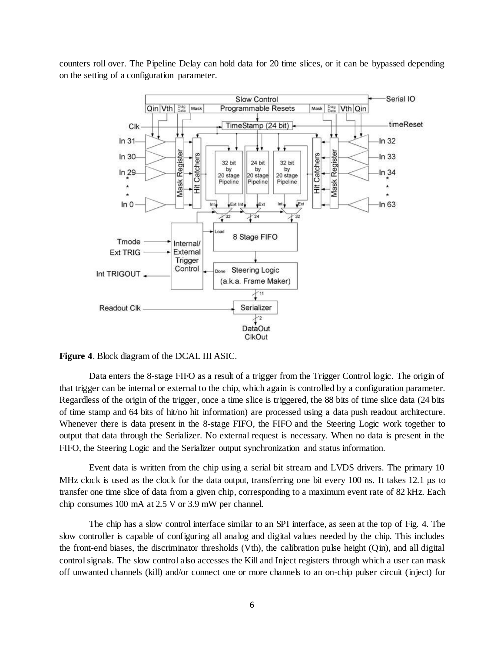counters roll over. The Pipeline Delay can hold data for 20 time slices, or it can be bypassed depending on the setting of a configuration parameter.



**Figure 4**. Block diagram of the DCAL III ASIC.

Data enters the 8-stage FIFO as a result of a trigger from the Trigger Control logic. The origin of that trigger can be internal or external to the chip, which again is controlled by a configuration parameter. Regardless of the origin of the trigger, once a time slice is triggered, the 88 bits of time slice data (24 bits of time stamp and 64 bits of hit/no hit information) are processed using a data push readout architecture. Whenever there is data present in the 8-stage FIFO, the FIFO and the Steering Logic work together to output that data through the Serializer. No external request is necessary. When no data is present in the FIFO, the Steering Logic and the Serializer output synchronization and status information.

Event data is written from the chip using a serial bit stream and LVDS drivers. The primary 10 MHz clock is used as the clock for the data output, transferring one bit every 100 ns. It takes 12.1 μs to transfer one time slice of data from a given chip, corresponding to a maximum event rate of 82 kHz. Each chip consumes 100 mA at 2.5 V or 3.9 mW per channel.

The chip has a slow control interface similar to an SPI interface, as seen at the top of Fig. 4. The slow controller is capable of configuring all analog and digital values needed by the chip. This includes the front-end biases, the discriminator thresholds (Vth), the calibration pulse height (Qin), and all digital control signals. The slow control also accesses the Kill and Inject registers through which a user can mask off unwanted channels (kill) and/or connect one or more channels to an on-chip pulser circuit (inject) for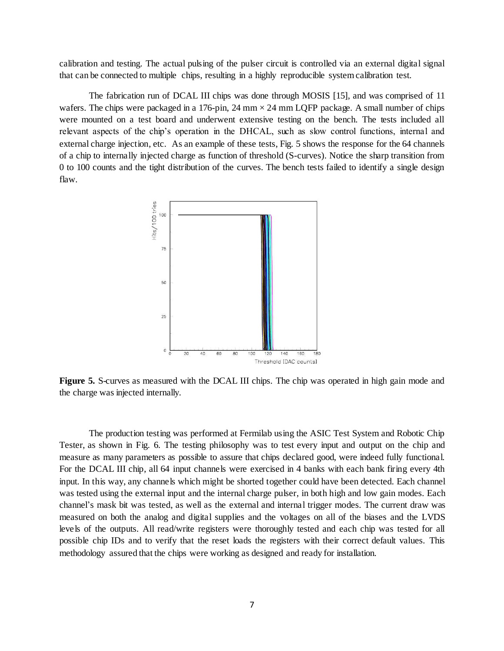calibration and testing. The actual pulsing of the pulser circuit is controlled via an external digital signal that can be connected to multiple chips, resulting in a highly reproducible system calibration test.

The fabrication run of DCAL III chips was done through MOSIS [15], and was comprised of 11 wafers. The chips were packaged in a 176-pin,  $24 \text{ mm} \times 24 \text{ mm}$  LQFP package. A small number of chips were mounted on a test board and underwent extensive testing on the bench. The tests included all relevant aspects of the chip's operation in the DHCAL, such as slow control functions, internal and external charge injection, etc. As an example of these tests, Fig. 5 shows the response for the 64 channels of a chip to internally injected charge as function of threshold (S-curves). Notice the sharp transition from 0 to 100 counts and the tight distribution of the curves. The bench tests failed to identify a single design flaw.



**Figure 5.** S-curves as measured with the DCAL III chips. The chip was operated in high gain mode and the charge was injected internally.

The production testing was performed at Fermilab using the ASIC Test System and Robotic Chip Tester, as shown in Fig. 6. The testing philosophy was to test every input and output on the chip and measure as many parameters as possible to assure that chips declared good, were indeed fully functional. For the DCAL III chip, all 64 input channels were exercised in 4 banks with each bank firing every 4th input. In this way, any channels which might be shorted together could have been detected. Each channel was tested using the external input and the internal charge pulser, in both high and low gain modes. Each channel's mask bit was tested, as well as the external and internal trigger modes. The current draw was measured on both the analog and digital supplies and the voltages on all of the biases and the LVDS levels of the outputs. All read/write registers were thoroughly tested and each chip was tested for all possible chip IDs and to verify that the reset loads the registers with their correct default values. This methodology assured that the chips were working as designed and ready for installation.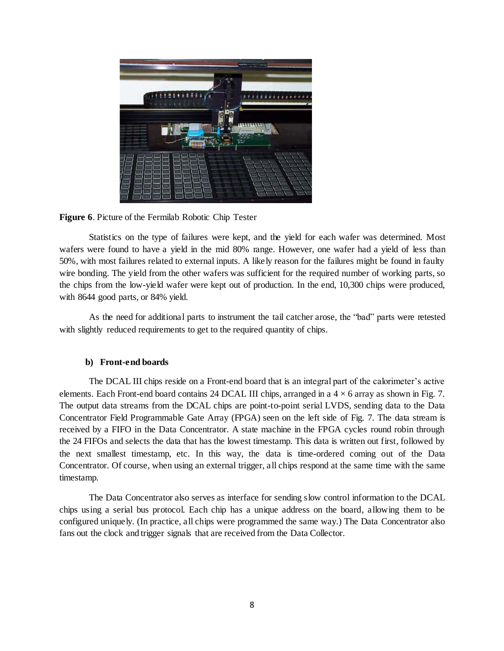

**Figure 6**. Picture of the Fermilab Robotic Chip Tester

Statistics on the type of failures were kept, and the yield for each wafer was determined. Most wafers were found to have a yield in the mid 80% range. However, one wafer had a yield of less than 50%, with most failures related to external inputs. A likely reason for the failures might be found in faulty wire bonding. The yield from the other wafers was sufficient for the required number of working parts, so the chips from the low-yield wafer were kept out of production. In the end, 10,300 chips were produced, with 8644 good parts, or 84% yield.

As the need for additional parts to instrument the tail catcher arose, the "bad" parts were retested with slightly reduced requirements to get to the required quantity of chips.

#### **b) Front-end boards**

The DCAL III chips reside on a Front-end board that is an integral part of the calorimeter's active elements. Each Front-end board contains 24 DCAL III chips, arranged in a  $4 \times 6$  array as shown in Fig. 7. The output data streams from the DCAL chips are point-to-point serial LVDS, sending data to the Data Concentrator Field Programmable Gate Array (FPGA) seen on the left side of Fig. 7. The data stream is received by a FIFO in the Data Concentrator. A state machine in the FPGA cycles round robin through the 24 FIFOs and selects the data that has the lowest timestamp. This data is written out first, followed by the next smallest timestamp, etc. In this way, the data is time-ordered coming out of the Data Concentrator. Of course, when using an external trigger, all chips respond at the same time with the same timestamp.

The Data Concentrator also serves as interface for sending slow control information to the DCAL chips using a serial bus protocol. Each chip has a unique address on the board, allowing them to be configured uniquely. (In practice, all chips were programmed the same way.) The Data Concentrator also fans out the clock and trigger signals that are received from the Data Collector.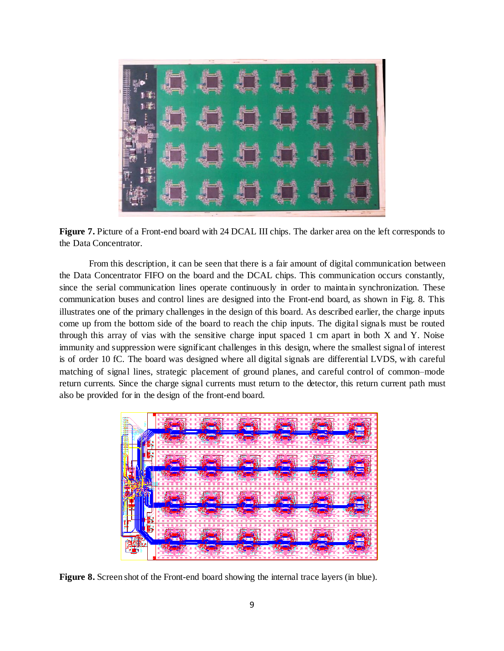

**Figure 7.** Picture of a Front-end board with 24 DCAL III chips. The darker area on the left corresponds to the Data Concentrator.

From this description, it can be seen that there is a fair amount of digital communication between the Data Concentrator FIFO on the board and the DCAL chips. This communication occurs constantly, since the serial communication lines operate continuously in order to maintain synchronization. These communication buses and control lines are designed into the Front-end board, as shown in Fig. 8. This illustrates one of the primary challenges in the design of this board. As described earlier, the charge inputs come up from the bottom side of the board to reach the chip inputs. The digital signals must be routed through this array of vias with the sensitive charge input spaced 1 cm apart in both X and Y. Noise immunity and suppression were significant challenges in this design, where the smallest signal of interest is of order 10 fC. The board was designed where all digital signals are differential LVDS, with careful matching of signal lines, strategic placement of ground planes, and careful control of common–mode return currents. Since the charge signal currents must return to the detector, this return current path must also be provided for in the design of the front-end board.



**Figure 8.** Screen shot of the Front-end board showing the internal trace layers (in blue).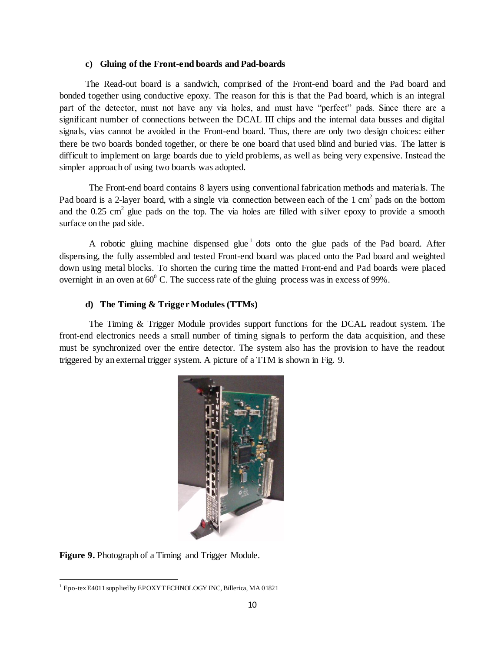#### **c) Gluing of the Front-end boards and Pad-boards**

The Read-out board is a sandwich, comprised of the Front-end board and the Pad board and bonded together using conductive epoxy. The reason for this is that the Pad board, which is an integral part of the detector, must not have any via holes, and must have "perfect" pads. Since there are a significant number of connections between the DCAL III chips and the internal data busses and digital signals, vias cannot be avoided in the Front-end board. Thus, there are only two design choices: either there be two boards bonded together, or there be one board that used blind and buried vias. The latter is difficult to implement on large boards due to yield problems, as well as being very expensive. Instead the simpler approach of using two boards was adopted.

The Front-end board contains 8 layers using conventional fabrication methods and materials. The Pad board is a 2-layer board, with a single via connection between each of the  $1 \text{ cm}^2$  pads on the bottom and the  $0.25 \text{ cm}^2$  glue pads on the top. The via holes are filled with silver epoxy to provide a smooth surface on the pad side.

A robotic gluing machine dispensed glue<sup>1</sup> dots onto the glue pads of the Pad board. After dispensing, the fully assembled and tested Front-end board was placed onto the Pad board and weighted down using metal blocks. To shorten the curing time the matted Front-end and Pad boards were placed overnight in an oven at  $60^{\circ}$  C. The success rate of the gluing process was in excess of 99%.

#### **d) The Timing & Trigger Modules (TTMs)**

The Timing & Trigger Module provides support functions for the DCAL readout system. The front-end electronics needs a small number of timing signals to perform the data acquisition, and these must be synchronized over the entire detector. The system also has the provision to have the readout triggered by an external trigger system. A picture of a TTM is shown in Fig. 9.



**Figure 9.** Photograph of a Timing and Trigger Module.

 $\overline{a}$  $1$  Epo-tex E4011 supplied by EPOXY TECHNOLOGY INC, Billerica, MA 01821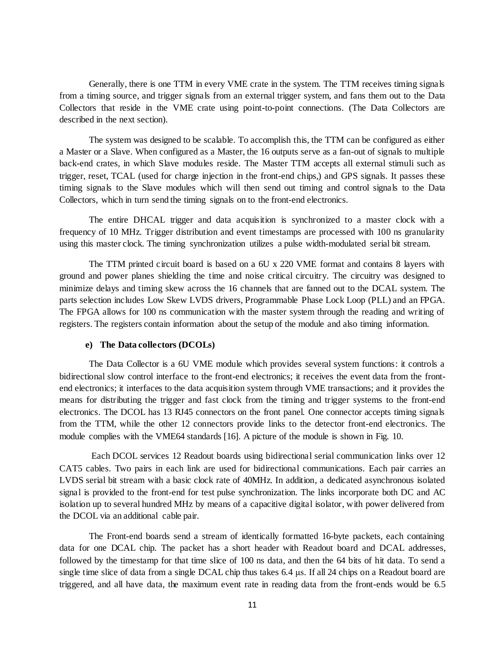Generally, there is one TTM in every VME crate in the system. The TTM receives timing signals from a timing source, and trigger signals from an external trigger system, and fans them out to the Data Collectors that reside in the VME crate using point-to-point connections. (The Data Collectors are described in the next section).

The system was designed to be scalable. To accomplish this, the TTM can be configured as either a Master or a Slave. When configured as a Master, the 16 outputs serve as a fan-out of signals to multiple back-end crates, in which Slave modules reside. The Master TTM accepts all external stimuli such as trigger, reset, TCAL (used for charge injection in the front-end chips,) and GPS signals. It passes these timing signals to the Slave modules which will then send out timing and control signals to the Data Collectors, which in turn send the timing signals on to the front-end electronics.

The entire DHCAL trigger and data acquisition is synchronized to a master clock with a frequency of 10 MHz. Trigger distribution and event timestamps are processed with 100 ns granularity using this master clock. The timing synchronization utilizes a pulse width-modulated serial bit stream.

The TTM printed circuit board is based on a 6U x 220 VME format and contains 8 layers with ground and power planes shielding the time and noise critical circuitry. The circuitry was designed to minimize delays and timing skew across the 16 channels that are fanned out to the DCAL system. The parts selection includes Low Skew LVDS drivers, Programmable Phase Lock Loop (PLL) and an FPGA. The FPGA allows for 100 ns communication with the master system through the reading and writing of registers. The registers contain information about the setup of the module and also timing information.

#### **e) The Data collectors (DCOLs)**

The Data Collector is a 6U VME module which provides several system functions: it controls a bidirectional slow control interface to the front-end electronics; it receives the event data from the frontend electronics; it interfaces to the data acquisition system through VME transactions; and it provides the means for distributing the trigger and fast clock from the timing and trigger systems to the front-end electronics. The DCOL has 13 RJ45 connectors on the front panel. One connector accepts timing signals from the TTM, while the other 12 connectors provide links to the detector front-end electronics. The module complies with the VME64 standards [16]. A picture of the module is shown in Fig. 10.

Each DCOL services 12 Readout boards using bidirectional serial communication links over 12 CAT5 cables. Two pairs in each link are used for bidirectional communications. Each pair carries an LVDS serial bit stream with a basic clock rate of 40MHz. In addition, a dedicated asynchronous isolated signal is provided to the front-end for test pulse synchronization. The links incorporate both DC and AC isolation up to several hundred MHz by means of a capacitive digital isolator, with power delivered from the DCOL via an additional cable pair.

The Front-end boards send a stream of identically formatted 16-byte packets, each containing data for one DCAL chip. The packet has a short header with Readout board and DCAL addresses, followed by the timestamp for that time slice of 100 ns data, and then the 64 bits of hit data. To send a single time slice of data from a single DCAL chip thus takes 6.4 μs. If all 24 chips on a Readout board are triggered, and all have data, the maximum event rate in reading data from the front-ends would be 6.5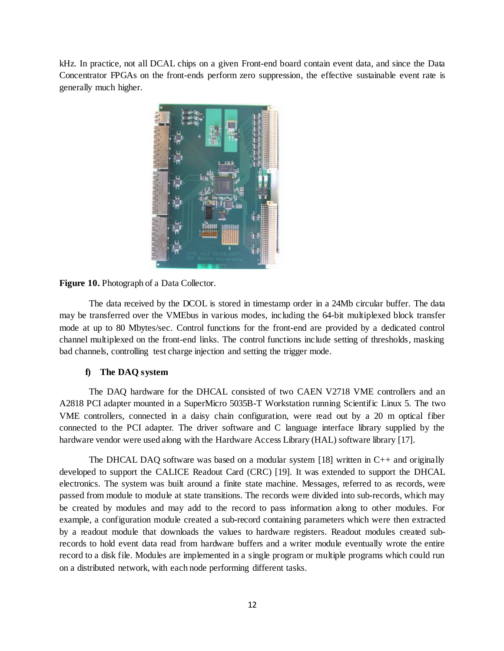kHz. In practice, not all DCAL chips on a given Front-end board contain event data, and since the Data Concentrator FPGAs on the front-ends perform zero suppression, the effective sustainable event rate is generally much higher.



**Figure 10.** Photograph of a Data Collector.

The data received by the DCOL is stored in timestamp order in a 24Mb circular buffer. The data may be transferred over the VMEbus in various modes, including the 64-bit multiplexed block transfer mode at up to 80 Mbytes/sec. Control functions for the front-end are provided by a dedicated control channel multiplexed on the front-end links. The control functions include setting of thresholds, masking bad channels, controlling test charge injection and setting the trigger mode.

## **f) The DAQ system**

The DAQ hardware for the DHCAL consisted of two CAEN V2718 VME controllers and an A2818 PCI adapter mounted in a SuperMicro 5035B-T Workstation running Scientific Linux 5. The two VME controllers, connected in a daisy chain configuration, were read out by a 20 m optical fiber connected to the PCI adapter. The driver software and C language interface library supplied by the hardware vendor were used along with the Hardware Access Library (HAL) software library [17].

The DHCAL DAQ software was based on a modular system  $[18]$  written in C++ and originally developed to support the CALICE Readout Card (CRC) [19]. It was extended to support the DHCAL electronics. The system was built around a finite state machine. Messages, referred to as records, were passed from module to module at state transitions. The records were divided into sub-records, which may be created by modules and may add to the record to pass information along to other modules. For example, a configuration module created a sub-record containing parameters which were then extracted by a readout module that downloads the values to hardware registers. Readout modules created subrecords to hold event data read from hardware buffers and a writer module eventually wrote the entire record to a disk file. Modules are implemented in a single program or multiple programs which could run on a distributed network, with each node performing different tasks.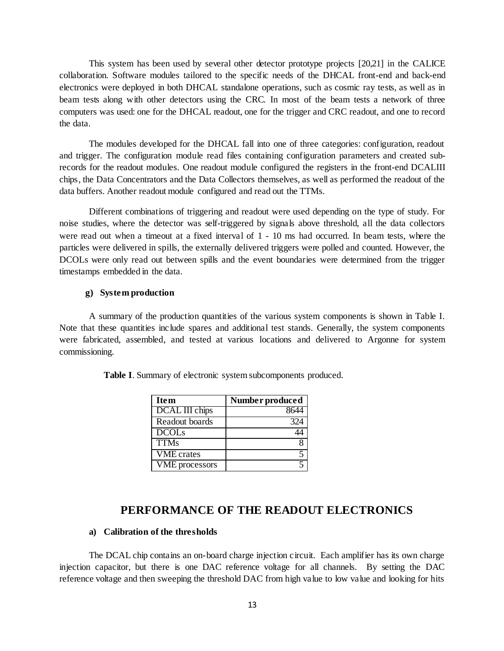This system has been used by several other detector prototype projects [20,21] in the CALICE collaboration. Software modules tailored to the specific needs of the DHCAL front-end and back-end electronics were deployed in both DHCAL standalone operations, such as cosmic ray tests, as well as in beam tests along with other detectors using the CRC. In most of the beam tests a network of three computers was used: one for the DHCAL readout, one for the trigger and CRC readout, and one to record the data.

The modules developed for the DHCAL fall into one of three categories: configuration, readout and trigger. The configuration module read files containing configuration parameters and created subrecords for the readout modules. One readout module configured the registers in the front-end DCALIII chips, the Data Concentrators and the Data Collectors themselves, as well as performed the readout of the data buffers. Another readout module configured and read out the TTMs.

Different combinations of triggering and readout were used depending on the type of study. For noise studies, where the detector was self-triggered by signals above threshold, all the data collectors were read out when a timeout at a fixed interval of 1 - 10 ms had occurred. In beam tests, where the particles were delivered in spills, the externally delivered triggers were polled and counted. However, the DCOLs were only read out between spills and the event boundaries were determined from the trigger timestamps embedded in the data.

## **g) System production**

A summary of the production quantities of the various system components is shown in Table I. Note that these quantities include spares and additional test stands. Generally, the system components were fabricated, assembled, and tested at various locations and delivered to Argonne for system commissioning.

| <b>Item</b>           | Number produced |
|-----------------------|-----------------|
| DCAL III chips        |                 |
| Readout boards        | 324             |
| <b>DCOLs</b>          |                 |
| <b>TTMs</b>           |                 |
| <b>VME</b> crates     |                 |
| <b>VME</b> processors |                 |

**Table I**. Summary of electronic system subcomponents produced.

# **PERFORMANCE OF THE READOUT ELECTRONICS**

### **a) Calibration of the thresholds**

The DCAL chip contains an on-board charge injection circuit. Each amplifier has its own charge injection capacitor, but there is one DAC reference voltage for all channels. By setting the DAC reference voltage and then sweeping the threshold DAC from high value to low value and looking for hits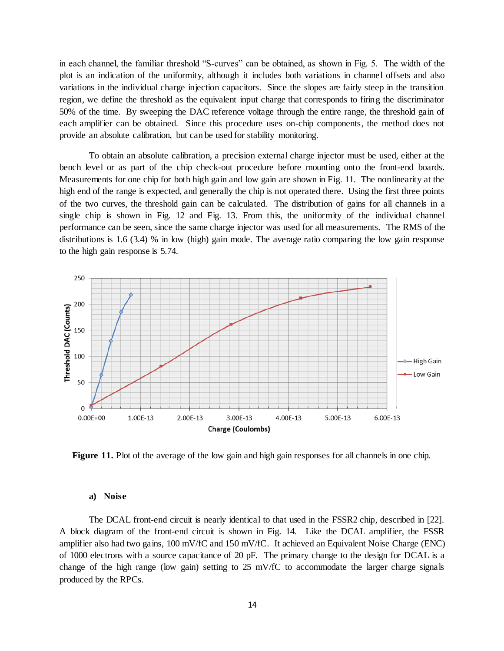in each channel, the familiar threshold "S-curves" can be obtained, as shown in Fig. 5. The width of the plot is an indication of the uniformity, although it includes both variations in channel offsets and also variations in the individual charge injection capacitors. Since the slopes are fairly steep in the transition region, we define the threshold as the equivalent input charge that corresponds to firing the discriminator 50% of the time. By sweeping the DAC reference voltage through the entire range, the threshold gain of each amplifier can be obtained. Since this procedure uses on-chip components, the method does not provide an absolute calibration, but can be used for stability monitoring.

To obtain an absolute calibration, a precision external charge injector must be used, either at the bench level or as part of the chip check-out procedure before mounting onto the front-end boards. Measurements for one chip for both high gain and low gain are shown in Fig. 11. The nonlinearity at the high end of the range is expected, and generally the chip is not operated there. Using the first three points of the two curves, the threshold gain can be calculated. The distribution of gains for all channels in a single chip is shown in Fig. 12 and Fig. 13. From this, the uniformity of the individual channel performance can be seen, since the same charge injector was used for all measurements. The RMS of the distributions is 1.6 (3.4) % in low (high) gain mode. The average ratio comparing the low gain response to the high gain response is 5.74.



**Figure 11.** Plot of the average of the low gain and high gain responses for all channels in one chip.

#### **a) Noise**

The DCAL front-end circuit is nearly identical to that used in the FSSR2 chip, described in [22]. A block diagram of the front-end circuit is shown in Fig. 14. Like the DCAL amplifier, the FSSR amplifier also had two gains, 100 mV/fC and 150 mV/fC. It achieved an Equivalent Noise Charge (ENC) of 1000 electrons with a source capacitance of 20 pF. The primary change to the design for DCAL is a change of the high range (low gain) setting to 25 mV/fC to accommodate the larger charge signals produced by the RPCs.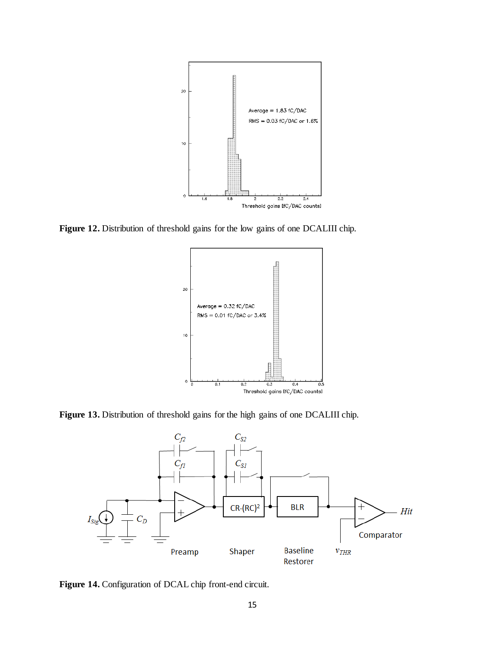

Figure 12. Distribution of threshold gains for the low gains of one DCALIII chip.



**Figure 13.** Distribution of threshold gains for the high gains of one DCALIII chip.



Figure 14. Configuration of DCAL chip front-end circuit.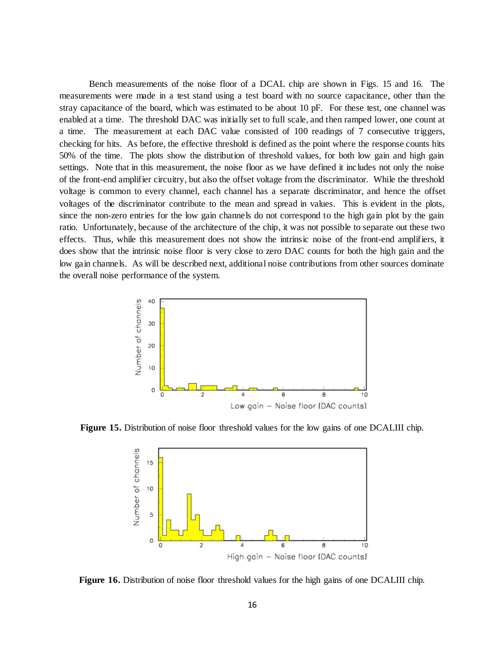Bench measurements of the noise floor of a DCAL chip are shown in Figs. 15 and 16. The measurements were made in a test stand using a test board with no source capacitance, other than the stray capacitance of the board, which was estimated to be about 10 pF. For these test, one channel was enabled at a time. The threshold DAC was initially set to full scale, and then ramped lower, one count at a time. The measurement at each DAC value consisted of 100 readings of 7 consecutive triggers, checking for hits. As before, the effective threshold is defined as the point where the response counts hits 50% of the time. The plots show the distribution of threshold values, for both low gain and high gain settings. Note that in this measurement, the noise floor as we have defined it includes not only the noise of the front-end amplifier circuitry, but also the offset voltage from the discriminator. While the threshold voltage is common to every channel, each channel has a separate discriminator, and hence the offset voltages of the discriminator contribute to the mean and spread in values. This is evident in the plots, since the non-zero entries for the low gain channels do not correspond to the high gain plot by the gain ratio. Unfortunately, because of the architecture of the chip, it was not possible to separate out these two effects. Thus, while this measurement does not show the intrinsic noise of the front-end amplifiers, it does show that the intrinsic noise floor is very close to zero DAC counts for both the high gain and the low gain channels. As will be described next, additional noise contributions from other sources dominate the overall noise performance of the system.



**Figure 15.** Distribution of noise floor threshold values for the low gains of one DCALIII chip.



**Figure 16.** Distribution of noise floor threshold values for the high gains of one DCALIII chip.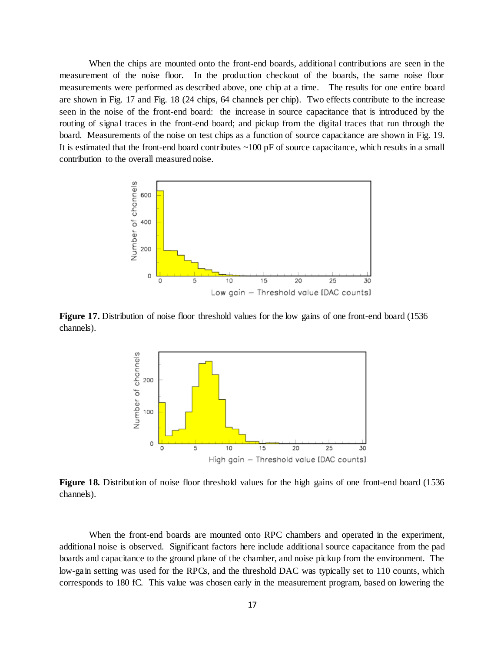When the chips are mounted onto the front-end boards, additional contributions are seen in the measurement of the noise floor. In the production checkout of the boards, the same noise floor measurements were performed as described above, one chip at a time. The results for one entire board are shown in Fig. 17 and Fig. 18 (24 chips, 64 channels per chip). Two effects contribute to the increase seen in the noise of the front-end board: the increase in source capacitance that is introduced by the routing of signal traces in the front-end board; and pickup from the digital traces that run through the board. Measurements of the noise on test chips as a function of source capacitance are shown in Fig. 19. It is estimated that the front-end board contributes  $\sim 100$  pF of source capacitance, which results in a small contribution to the overall measured noise.



**Figure 17.** Distribution of noise floor threshold values for the low gains of one front-end board (1536) channels).



**Figure 18.** Distribution of noise floor threshold values for the high gains of one front-end board (1536 channels).

When the front-end boards are mounted onto RPC chambers and operated in the experiment, additional noise is observed. Significant factors here include additional source capacitance from the pad boards and capacitance to the ground plane of the chamber, and noise pickup from the environment. The low-gain setting was used for the RPCs, and the threshold DAC was typically set to 110 counts, which corresponds to 180 fC. This value was chosen early in the measurement program, based on lowering the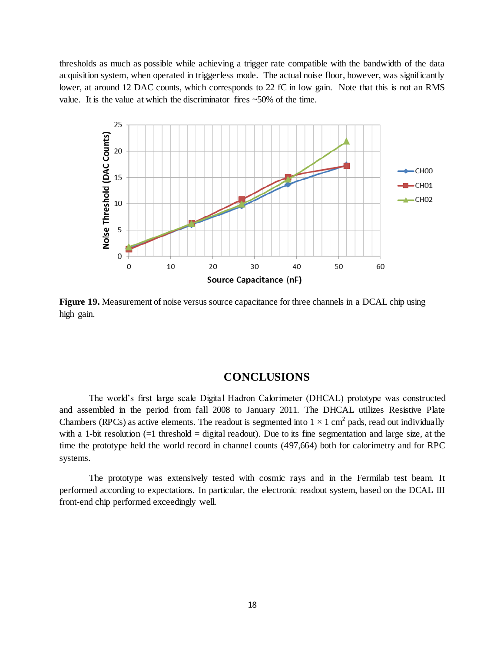thresholds as much as possible while achieving a trigger rate compatible with the bandwidth of the data acquisition system, when operated in triggerless mode. The actual noise floor, however, was significantly lower, at around 12 DAC counts, which corresponds to 22 fC in low gain. Note that this is not an RMS value. It is the value at which the discriminator fires ~50% of the time.



**Figure 19.** Measurement of noise versus source capacitance for three channels in a DCAL chip using high gain.

# **CONCLUSIONS**

The world's first large scale Digital Hadron Calorimeter (DHCAL) prototype was constructed and assembled in the period from fall 2008 to January 2011. The DHCAL utilizes Resistive Plate Chambers (RPCs) as active elements. The readout is segmented into  $1 \times 1$  cm<sup>2</sup> pads, read out individually with a 1-bit resolution (=1 threshold = digital readout). Due to its fine segmentation and large size, at the time the prototype held the world record in channel counts (497,664) both for calorimetry and for RPC systems.

The prototype was extensively tested with cosmic rays and in the Fermilab test beam. It performed according to expectations. In particular, the electronic readout system, based on the DCAL III front-end chip performed exceedingly well.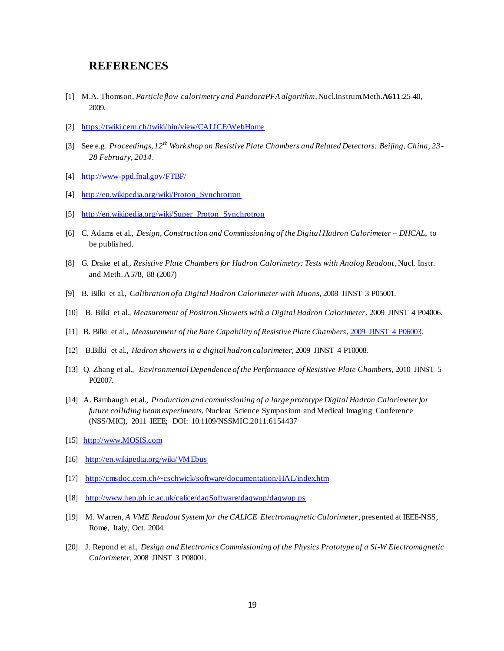# **REFERENCES**

- [1] M.A. Thomson, *Particle flow calorimetry and PandoraPFA algorithm*, Nucl.Instrum.Meth.**A611**:25-40, 2009.
- [2] <https://twiki.cern.ch/twiki/bin/view/CALICE/WebHome>
- [3] See e.g. *Proceedings, 12th Workshop on Resistive Plate Chambers and Related Detectors: Beijing, China, 23 - 28 February, 2014*.
- [4] <http://www-ppd.fnal.gov/FTBF/>
- [4] [http://en.wikipedia.org/wiki/Proton\\_Synchrotron](http://en.wikipedia.org/wiki/Proton_Synchrotron)
- [5] [http://en.wikipedia.org/wiki/Super\\_Proton\\_Synchrotron](http://en.wikipedia.org/wiki/Super_Proton_Synchrotron)
- [6] C. Adams et al., *Design, Construction and Commissioning of the Digital Hadron Calorimeter – DHCAL*, to be published.
- [8] G. Drake et al*., Resistive Plate Chambers for Hadron Calorimetry: Tests with Analog Readout*, Nucl. Instr. and Meth. A578, 88 (2007)
- [9] B. Bilki et al., *Calibration of a Digital Hadron Calorimeter with Muons*, 2008 JINST 3 P05001.
- [10] B. Bilki et al., *Measurement of Positron Showers with a Digital Hadron Calorimeter*, 2009 JINST 4 P04006.
- [11] B. Bilki et al., *Measurement of the Rate Capability of Resistive Plate Chambers*[, 2009 JINST 4 P06003.](http://www.iop.org/EJ/article/1748-0221/4/06/P06003/jinst9_06_p06003.pdf)
- [12] B.Bilki et al., *Hadron showers in a digital hadron calorimeter,* 2009 JINST 4 P10008.
- [13] Q. Zhang et al., *Environmental Dependence of the Performance of Resistive Plate Chambers*, 2010 JINST 5 P02007.
- [14] A. Bambaugh et al., *Production and commissioning of a large prototype Digital Hadron Calorimeter for future colliding beam experiments,* Nuclear Science Symposium and Medical Imaging Conference (NSS/MIC), 2011 IEEE; DOI: 10.1109/NSSMIC.2011.6154437
- [15] [http://www.MOSIS.com](http://www.mosis.com/)
- [16] <http://en.wikipedia.org/wiki/VMEbus>
- [17] <http://cmsdoc.cern.ch/~cschwick/software/documentation/HAL/index.htm>
- [18] <http://www.hep.ph.ic.ac.uk/calice/daqSoftware/daqwup/daqwup.ps>
- [19] M. Warren, *A VME Readout System for the CALICE Electromagnetic Calorimeter*, presented at IEEE-NSS, Rome, Italy, Oct. 2004.
- [20] J. Repond et al., *Design and Electronics Commissioning of the Physics Prototype of a Si-W Electromagnetic Calorimeter*, 2008 JINST 3 P08001.